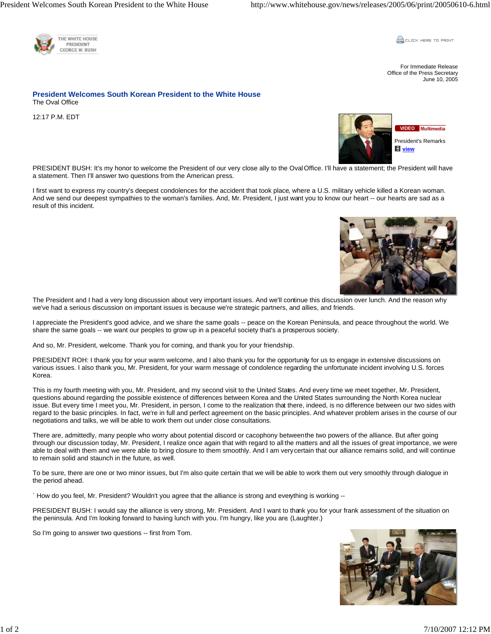

**COLLEK HERE TO PRINT** 

For Immediate Release Office of the Press Secretary June 10, 2005

## **President Welcomes South Korean President to the White House**  The Oval Office

12:17 P.M. EDT



PRESIDENT BUSH: It's my honor to welcome the President of our very close ally to the Oval Office. I'll have a statement; the President will have a statement. Then I'll answer two questions from the American press.

I first want to express my country's deepest condolences for the accident that took place, where a U.S. military vehicle killed a Korean woman. And we send our deepest sympathies to the woman's families. And, Mr. President, I just want you to know our heart -- our hearts are sad as a result of this incident.



The President and I had a very long discussion about very important issues. And we'll continue this discussion over lunch. And the reason why we've had a serious discussion on important issues is because we're strategic partners, and allies, and friends.

I appreciate the President's good advice, and we share the same goals -- peace on the Korean Peninsula, and peace throughout the world. We share the same goals -- we want our peoples to grow up in a peaceful society that's a prosperous society.

And so, Mr. President, welcome. Thank you for coming, and thank you for your friendship.

PRESIDENT ROH: I thank you for your warm welcome, and I also thank you for the opportunity for us to engage in extensive discussions on various issues. I also thank you, Mr. President, for your warm message of condolence regarding the unfortunate incident involving U.S. forces Korea.

This is my fourth meeting with you, Mr. President, and my second visit to the United States. And every time we meet together, Mr. President, questions abound regarding the possible existence of differences between Korea and the United States surrounding the North Korea nuclear issue. But every time I meet you, Mr. President, in person, I come to the realization that there, indeed, is no difference between our two sides with regard to the basic principles. In fact, we're in full and perfect agreement on the basic principles. And whatever problem arises in the course of our negotiations and talks, we will be able to work them out under close consultations.

There are, admittedly, many people who worry about potential discord or cacophony between the two powers of the alliance. But after going through our discussion today, Mr. President, I realize once again that with regard to all the matters and all the issues of great importance, we were able to deal with them and we were able to bring closure to them smoothly. And I am very certain that our alliance remains solid, and will continue to remain solid and staunch in the future, as well.

To be sure, there are one or two minor issues, but I'm also quite certain that we will be able to work them out very smoothly through dialogue in the period ahead.

` How do you feel, Mr. President? Wouldn't you agree that the alliance is strong and everything is working --

PRESIDENT BUSH: I would say the alliance is very strong, Mr. President. And I want to thank you for your frank assessment of the situation on the peninsula. And I'm looking forward to having lunch with you. I'm hungry, like you are. (Laughter.)

So I'm going to answer two questions -- first from Tom.